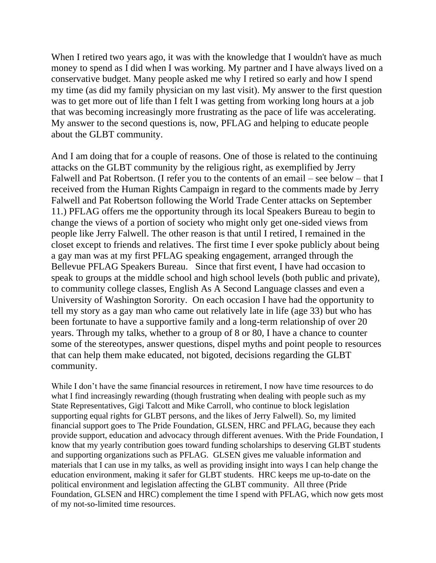When I retired two years ago, it was with the knowledge that I wouldn't have as much money to spend as I did when I was working. My partner and I have always lived on a conservative budget. Many people asked me why I retired so early and how I spend my time (as did my family physician on my last visit). My answer to the first question was to get more out of life than I felt I was getting from working long hours at a job that was becoming increasingly more frustrating as the pace of life was accelerating. My answer to the second questions is, now, PFLAG and helping to educate people about the GLBT community.

And I am doing that for a couple of reasons. One of those is related to the continuing attacks on the GLBT community by the religious right, as exemplified by Jerry Falwell and Pat Robertson. (I refer you to the contents of an email – see below – that I received from the Human Rights Campaign in regard to the comments made by Jerry Falwell and Pat Robertson following the World Trade Center attacks on September 11.) PFLAG offers me the opportunity through its local Speakers Bureau to begin to change the views of a portion of society who might only get one-sided views from people like Jerry Falwell. The other reason is that until I retired, I remained in the closet except to friends and relatives. The first time I ever spoke publicly about being a gay man was at my first PFLAG speaking engagement, arranged through the Bellevue PFLAG Speakers Bureau. Since that first event, I have had occasion to speak to groups at the middle school and high school levels (both public and private), to community college classes, English As A Second Language classes and even a University of Washington Sorority. On each occasion I have had the opportunity to tell my story as a gay man who came out relatively late in life (age 33) but who has been fortunate to have a supportive family and a long-term relationship of over 20 years. Through my talks, whether to a group of 8 or 80, I have a chance to counter some of the stereotypes, answer questions, dispel myths and point people to resources that can help them make educated, not bigoted, decisions regarding the GLBT community.

While I don't have the same financial resources in retirement, I now have time resources to do what I find increasingly rewarding (though frustrating when dealing with people such as my State Representatives, Gigi Talcott and Mike Carroll, who continue to block legislation supporting equal rights for GLBT persons, and the likes of Jerry Falwell). So, my limited financial support goes to The Pride Foundation, GLSEN, HRC and PFLAG, because they each provide support, education and advocacy through different avenues. With the Pride Foundation, I know that my yearly contribution goes toward funding scholarships to deserving GLBT students and supporting organizations such as PFLAG. GLSEN gives me valuable information and materials that I can use in my talks, as well as providing insight into ways I can help change the education environment, making it safer for GLBT students. HRC keeps me up-to-date on the political environment and legislation affecting the GLBT community. All three (Pride Foundation, GLSEN and HRC) complement the time I spend with PFLAG, which now gets most of my not-so-limited time resources.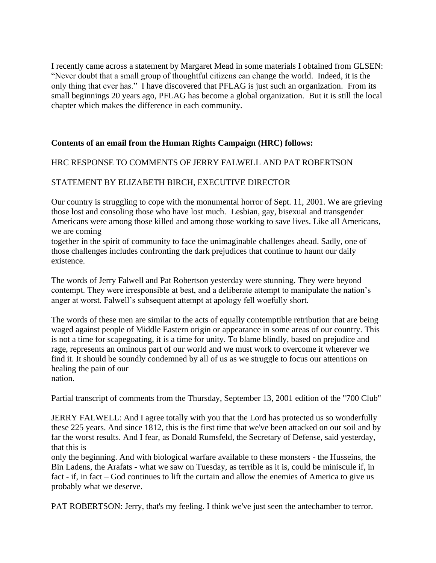I recently came across a statement by Margaret Mead in some materials I obtained from GLSEN: "Never doubt that a small group of thoughtful citizens can change the world. Indeed, it is the only thing that ever has." I have discovered that PFLAG is just such an organization. From its small beginnings 20 years ago, PFLAG has become a global organization. But it is still the local chapter which makes the difference in each community.

## **Contents of an email from the Human Rights Campaign (HRC) follows:**

## HRC RESPONSE TO COMMENTS OF JERRY FALWELL AND PAT ROBERTSON

## STATEMENT BY ELIZABETH BIRCH, EXECUTIVE DIRECTOR

Our country is struggling to cope with the monumental horror of Sept. 11, 2001. We are grieving those lost and consoling those who have lost much. Lesbian, gay, bisexual and transgender Americans were among those killed and among those working to save lives. Like all Americans, we are coming

together in the spirit of community to face the unimaginable challenges ahead. Sadly, one of those challenges includes confronting the dark prejudices that continue to haunt our daily existence.

The words of Jerry Falwell and Pat Robertson yesterday were stunning. They were beyond contempt. They were irresponsible at best, and a deliberate attempt to manipulate the nation's anger at worst. Falwell's subsequent attempt at apology fell woefully short.

The words of these men are similar to the acts of equally contemptible retribution that are being waged against people of Middle Eastern origin or appearance in some areas of our country. This is not a time for scapegoating, it is a time for unity. To blame blindly, based on prejudice and rage, represents an ominous part of our world and we must work to overcome it wherever we find it. It should be soundly condemned by all of us as we struggle to focus our attentions on healing the pain of our

nation.

Partial transcript of comments from the Thursday, September 13, 2001 edition of the "700 Club"

JERRY FALWELL: And I agree totally with you that the Lord has protected us so wonderfully these 225 years. And since 1812, this is the first time that we've been attacked on our soil and by far the worst results. And I fear, as Donald Rumsfeld, the Secretary of Defense, said yesterday, that this is

only the beginning. And with biological warfare available to these monsters - the Husseins, the Bin Ladens, the Arafats - what we saw on Tuesday, as terrible as it is, could be miniscule if, in fact - if, in fact – God continues to lift the curtain and allow the enemies of America to give us probably what we deserve.

PAT ROBERTSON: Jerry, that's my feeling. I think we've just seen the antechamber to terror.